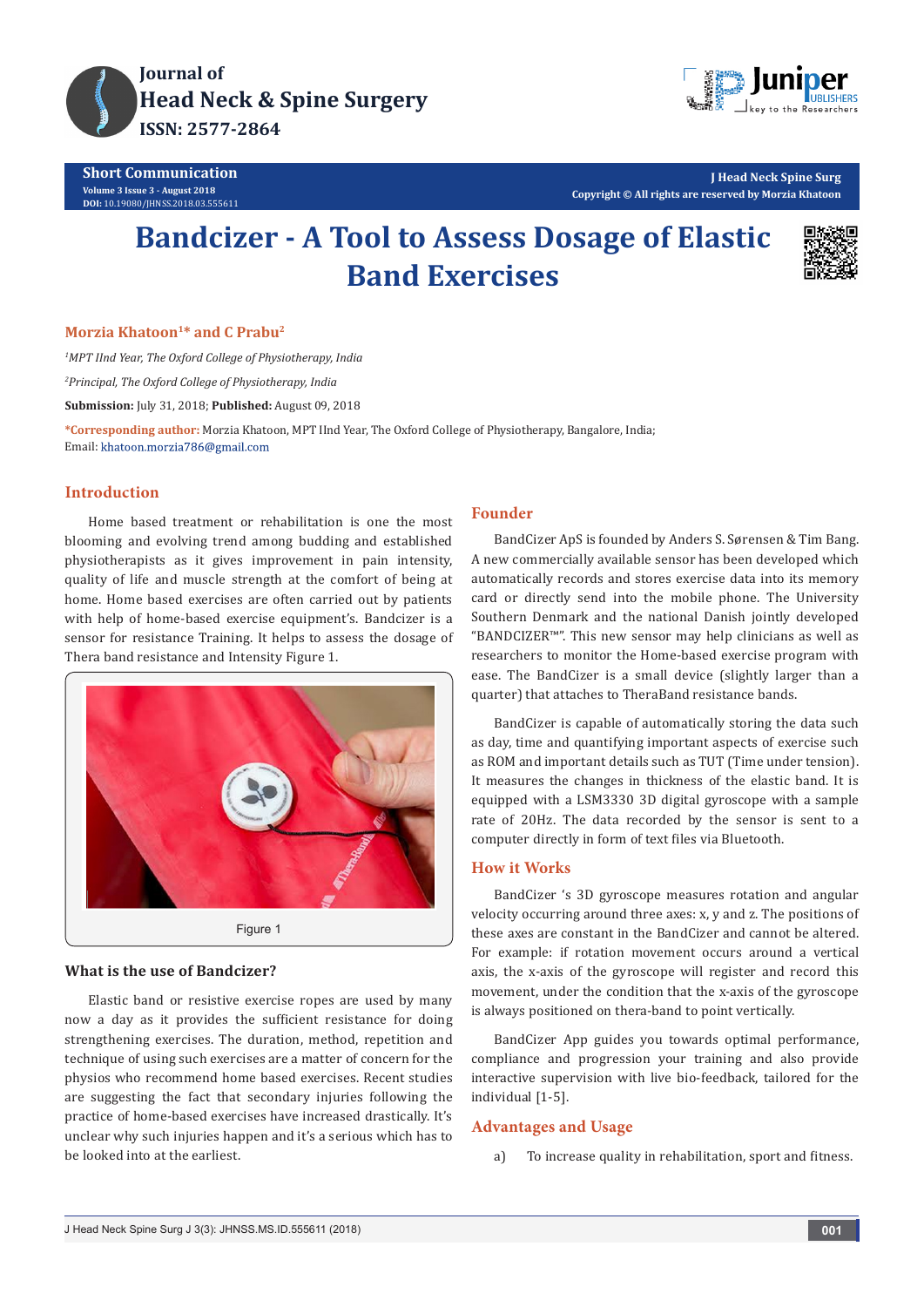

**J Head Neck Spine Surg Copyright © All rights are reserved by Morzia Khatoon**

# **Bandcizer - A Tool to Assess Dosage of Elastic Band Exercises**



# **Morzia Khatoon<sup>1\*</sup> and C Prabu<sup>2</sup>**

*1 MPT IInd Year, The Oxford College of Physiotherapy, India 2 Principal, The Oxford College of Physiotherapy, India* **Submission:** July 31, 2018; **Published:** August 09, 2018

**\*Corresponding author:** Morzia Khatoon, MPT IInd Year, The Oxford College of Physiotherapy, Bangalore, India; Email: khatoon.morzia786@gmail.com

# **Introduction**

Home based treatment or rehabilitation is one the most blooming and evolving trend among budding and established physiotherapists as it gives improvement in pain intensity, quality of life and muscle strength at the comfort of being at home. Home based exercises are often carried out by patients with help of home-based exercise equipment's. Bandcizer is a sensor for resistance Training. It helps to assess the dosage of Thera band resistance and Intensity Figure 1.



## **What is the use of Bandcizer?**

Elastic band or resistive exercise ropes are used by many now a day as it provides the sufficient resistance for doing strengthening exercises. The duration, method, repetition and technique of using such exercises are a matter of concern for the physios who recommend home based exercises. Recent studies are suggesting the fact that secondary injuries following the practice of home-based exercises have increased drastically. It's unclear why such injuries happen and it's a serious which has to be looked into at the earliest.

#### **Founder**

BandCizer ApS is founded by Anders S. Sørensen & Tim Bang. A new commercially available sensor has been developed which automatically records and stores exercise data into its memory card or directly send into the mobile phone. The University Southern Denmark and the national Danish jointly developed "BANDCIZER™". This new sensor may help clinicians as well as researchers to monitor the Home-based exercise program with ease. The BandCizer is a small device (slightly larger than a quarter) that attaches to TheraBand resistance bands.

BandCizer is capable of automatically storing the data such as day, time and quantifying important aspects of exercise such as ROM and important details such as TUT (Time under tension). It measures the changes in thickness of the elastic band. It is equipped with a LSM3330 3D digital gyroscope with a sample rate of 20Hz. The data recorded by the sensor is sent to a computer directly in form of text files via Bluetooth.

## **How it Works**

BandCizer 's 3D gyroscope measures rotation and angular velocity occurring around three axes: x, y and z. The positions of these axes are constant in the BandCizer and cannot be altered. For example: if rotation movement occurs around a vertical axis, the x-axis of the gyroscope will register and record this movement, under the condition that the x-axis of the gyroscope is always positioned on thera-band to point vertically.

BandCizer App guides you towards optimal performance, compliance and progression your training and also provide interactive supervision with live bio-feedback, tailored for the individual [1-5].

## **Advantages and Usage**

a) To increase quality in rehabilitation, sport and fitness.